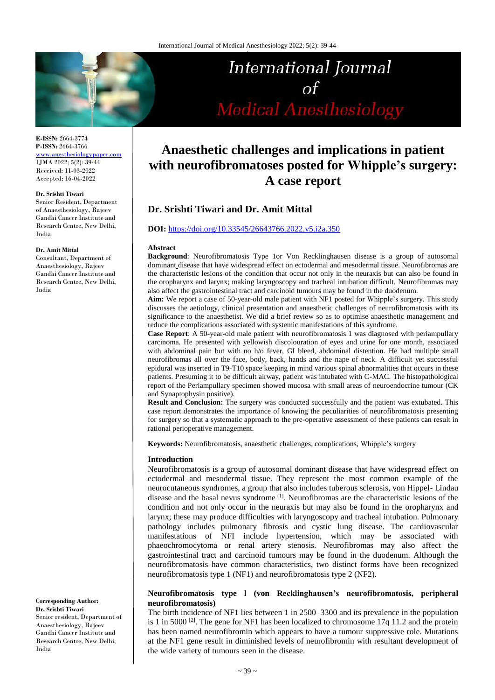

# **Anaesthetic challenges and implications in patient with neurofibromatoses posted for Whipple's surgery: A case report**

# **Dr. Srishti Tiwari and Dr. Amit Mittal**

### **DOI:** <https://doi.org/10.33545/26643766.2022.v5.i2a.350>

#### **Abstract**

**Background**: Neurofibromatosis Type 1or Von Recklinghausen disease is a group of autosomal dominant disease that have widespread effect on ectodermal and mesodermal tissue. Neurofibromas are the characteristic lesions of the condition that occur not only in the neuraxis but can also be found in the oropharynx and larynx; making laryngoscopy and tracheal intubation difficult. Neurofibromas may also affect the gastrointestinal tract and carcinoid tumours may be found in the duodenum.

**Aim:** We report a case of 50-year-old male patient with NF1 posted for Whipple's surgery. This study discusses the aetiology, clinical presentation and anaesthetic challenges of neurofibromatosis with its significance to the anaesthetist. We did a brief review so as to optimise anaesthetic management and reduce the complications associated with systemic manifestations of this syndrome.

**Case Report**: A 50-year-old male patient with neurofibromatosis 1 was diagnosed with periampullary carcinoma. He presented with yellowish discolouration of eyes and urine for one month, associated with abdominal pain but with no h/o fever, GI bleed, abdominal distention. He had multiple small neurofibromas all over the face, body, back, hands and the nape of neck. A difficult yet successful epidural was inserted in T9-T10 space keeping in mind various spinal abnormalities that occurs in these patients. Presuming it to be difficult airway, patient was intubated with C-MAC. The histopathological report of the Periampullary specimen showed mucosa with small areas of neuroendocrine tumour (CK and Synaptophysin positive).

**Result and Conclusion:** The surgery was conducted successfully and the patient was extubated. This case report demonstrates the importance of knowing the peculiarities of neurofibromatosis presenting for surgery so that a systematic approach to the pre-operative assessment of these patients can result in rational perioperative management.

**Keywords:** Neurofibromatosis, anaesthetic challenges, complications, Whipple's surgery

#### **Introduction**

Neurofibromatosis is a group of autosomal dominant disease that have widespread effect on ectodermal and mesodermal tissue. They represent the most common example of the neurocutaneous syndromes, a group that also includes tuberous sclerosis, von Hippel- Lindau disease and the basal nevus syndrome<sup>[1]</sup>. Neurofibromas are the characteristic lesions of the condition and not only occur in the neuraxis but may also be found in the oropharynx and larynx; these may produce difficulties with laryngoscopy and tracheal intubation. Pulmonary pathology includes pulmonary fibrosis and cystic lung disease. The cardiovascular manifestations of NFI include hypertension, which may be associated with phaeochromocytoma or renal artery stenosis. Neurofibromas may also affect the gastrointestinal tract and carcinoid tumours may be found in the duodenum. Although the neurofibromatosis have common characteristics, two distinct forms have been recognized neurofibromatosis type 1 (NF1) and neurofibromatosis type 2 (NF2).

## **Neurofibromatosis type l (von Recklinghausen's neurofibromatosis, peripheral neurofibromatosis)**

The birth incidence of NF1 lies between 1 in 2500–3300 and its prevalence in the population is 1 in 5000  $^{[2]}$ . The gene for NF1 has been localized to chromosome 17q 11.2 and the protein has been named neurofibromin which appears to have a tumour suppressive role. Mutations at the NF1 gene result in diminished levels of neurofibromin with resultant development of the wide variety of tumours seen in the disease.

**E-ISSN:** 2664-3774 **P-ISSN:** 2664-3766 [www.anesthesiologypaper.com](http://www.anesthesiologypaper.com/) IJMA 2022; 5(2): 39-44 Received: 11-03-2022 Accepted: 16-04-2022

#### **Dr. Srishti Tiwari**

Senior Resident, Department of Anaesthesiology, Rajeev Gandhi Cancer Institute and Research Centre, New Delhi, India

#### **Dr. Amit Mittal**

Consultant, Department of Anaesthesiology, Rajeev Gandhi Cancer Institute and Research Centre, New Delhi, India

**Corresponding Author: Dr. Srishti Tiwari** Senior resident, Department of Anaesthesiology, Rajeev Gandhi Cancer Institute and Research Centre, New Delhi, India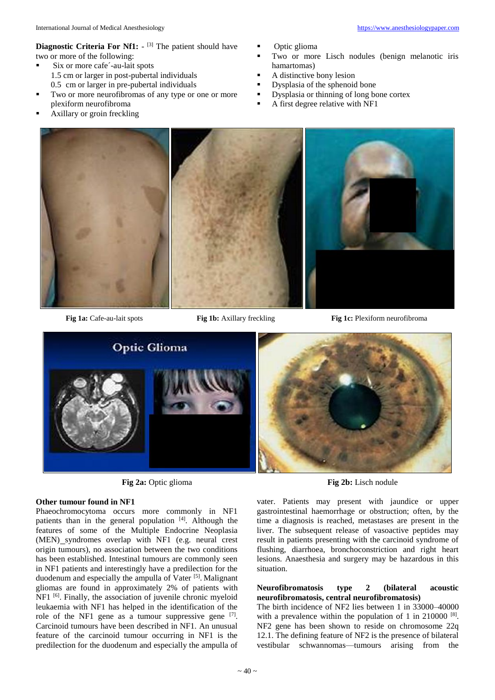**Diagnostic Criteria For Nf1:** - <sup>[3]</sup> The patient should have two or more of the following:

- Six or more cafe´-au-lait spots
	- 1.5 cm or larger in post-pubertal individuals
	- 0.5 cm or larger in pre-pubertal individuals
- Two or more neurofibromas of any type or one or more plexiform neurofibroma
- Axillary or groin freckling
- Optic glioma
- Two or more Lisch nodules (benign melanotic iris hamartomas)
- A distinctive bony lesion
- **•** Dysplasia of the sphenoid bone
- Dysplasia or thinning of long bone cortex
- A first degree relative with NF1



**Fig 1a:** Cafe-au-lait spots **Fig 1b:** Axillary freckling **Fig 1c:** Plexiform neurofibroma



**Fig 2a:** Optic glioma **Fig 2b:** Lisch nodule

#### **Other tumour found in NF1**

Phaeochromocytoma occurs more commonly in NF1 patients than in the general population [4]. Although the features of some of the Multiple Endocrine Neoplasia (MEN) syndromes overlap with NF1 (e.g. neural crest origin tumours), no association between the two conditions has been established. Intestinal tumours are commonly seen in NF1 patients and interestingly have a predilection for the duodenum and especially the ampulla of Vater<sup>[5]</sup>. Malignant gliomas are found in approximately 2% of patients with NF1 <sup>[6]</sup>. Finally, the association of juvenile chronic myeloid leukaemia with NF1 has helped in the identification of the role of the NF1 gene as a tumour suppressive gene  $[7]$ . Carcinoid tumours have been described in NF1. An unusual feature of the carcinoid tumour occurring in NF1 is the predilection for the duodenum and especially the ampulla of



vater. Patients may present with jaundice or upper gastrointestinal haemorrhage or obstruction; often, by the time a diagnosis is reached, metastases are present in the liver. The subsequent release of vasoactive peptides may result in patients presenting with the carcinoid syndrome of flushing, diarrhoea, bronchoconstriction and right heart lesions. Anaesthesia and surgery may be hazardous in this situation.

#### **Neurofibromatosis type 2 (bilateral acoustic neurofibromatosis, central neurofibromatosis)**

The birth incidence of NF2 lies between 1 in 33000–40000 with a prevalence within the population of 1 in  $210000$ <sup>[8]</sup>. NF2 gene has been shown to reside on chromosome 22q 12.1. The defining feature of NF2 is the presence of bilateral vestibular schwannomas—tumours arising from the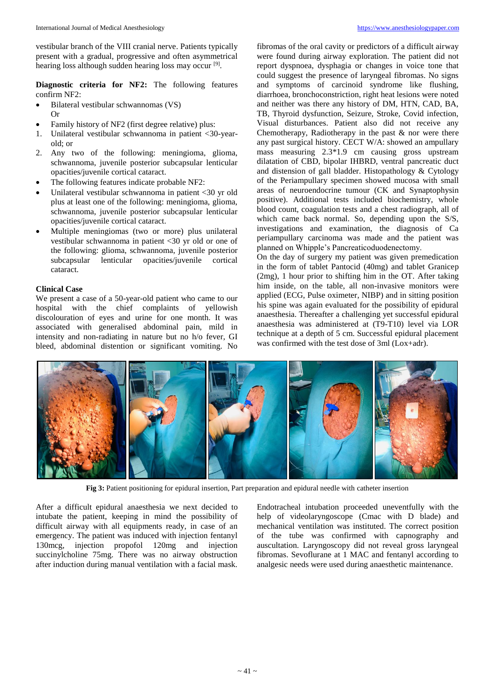vestibular branch of the VIII cranial nerve. Patients typically present with a gradual, progressive and often asymmetrical hearing loss although sudden hearing loss may occur<sup>[9]</sup>.

**Diagnostic criteria for NF2:** The following features confirm NF2:

- Bilateral vestibular schwannomas (VS) Or
- Family history of NF2 (first degree relative) plus:
- 1. Unilateral vestibular schwannoma in patient <30-yearold; or
- 2. Any two of the following: meningioma, glioma, schwannoma, juvenile posterior subcapsular lenticular opacities/juvenile cortical cataract.
- The following features indicate probable NF2:
- Unilateral vestibular schwannoma in patient <30 yr old plus at least one of the following: meningioma, glioma, schwannoma, juvenile posterior subcapsular lenticular opacities/juvenile cortical cataract.
- Multiple meningiomas (two or more) plus unilateral vestibular schwannoma in patient <30 yr old or one of the following: glioma, schwannoma, juvenile posterior subcapsular lenticular opacities/juvenile cortical cataract.

## **Clinical Case**

We present a case of a 50-year-old patient who came to our hospital with the chief complaints of yellowish discolouration of eyes and urine for one month. It was associated with generalised abdominal pain, mild in intensity and non-radiating in nature but no h/o fever, GI bleed, abdominal distention or significant vomiting. No

fibromas of the oral cavity or predictors of a difficult airway were found during airway exploration. The patient did not report dyspnoea, dysphagia or changes in voice tone that could suggest the presence of laryngeal fibromas. No signs and symptoms of carcinoid syndrome like flushing, diarrhoea, bronchoconstriction, right heat lesions were noted and neither was there any history of DM, HTN, CAD, BA, TB, Thyroid dysfunction, Seizure, Stroke, Covid infection, Visual disturbances. Patient also did not receive any Chemotherapy, Radiotherapy in the past  $\&$  nor were there any past surgical history. CECT W/A: showed an ampullary mass measuring 2.3\*1.9 cm causing gross upstream dilatation of CBD, bipolar IHBRD, ventral pancreatic duct and distension of gall bladder. Histopathology & Cytology of the Periampullary specimen showed mucosa with small areas of neuroendocrine tumour (CK and Synaptophysin positive). Additional tests included biochemistry, whole blood count, coagulation tests and a chest radiograph, all of which came back normal. So, depending upon the S/S, investigations and examination, the diagnosis of Ca periampullary carcinoma was made and the patient was planned on Whipple's Pancreaticoduodenectomy.

On the day of surgery my patient was given premedication in the form of tablet Pantocid (40mg) and tablet Granicep (2mg), 1 hour prior to shifting him in the OT. After taking him inside, on the table, all non-invasive monitors were applied (ECG, Pulse oximeter, NIBP) and in sitting position his spine was again evaluated for the possibility of epidural anaesthesia. Thereafter a challenging yet successful epidural anaesthesia was administered at (T9-T10) level via LOR technique at a depth of 5 cm. Successful epidural placement was confirmed with the test dose of 3ml (Lox+adr).



**Fig 3:** Patient positioning for epidural insertion, Part preparation and epidural needle with catheter insertion

After a difficult epidural anaesthesia we next decided to intubate the patient, keeping in mind the possibility of difficult airway with all equipments ready, in case of an emergency. The patient was induced with injection fentanyl 130mcg, injection propofol 120mg and injection succinylcholine 75mg. There was no airway obstruction after induction during manual ventilation with a facial mask.

Endotracheal intubation proceeded uneventfully with the help of videolaryngoscope (Cmac with D blade) and mechanical ventilation was instituted. The correct position of the tube was confirmed with capnography and auscultation. Laryngoscopy did not reveal gross laryngeal fibromas. Sevoflurane at 1 MAC and fentanyl according to analgesic needs were used during anaesthetic maintenance.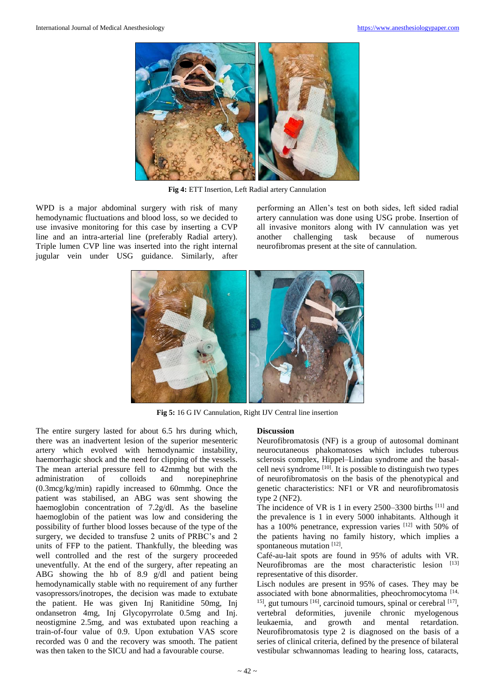

**Fig 4:** ETT Insertion, Left Radial artery Cannulation

WPD is a major abdominal surgery with risk of many hemodynamic fluctuations and blood loss, so we decided to use invasive monitoring for this case by inserting a CVP line and an intra-arterial line (preferably Radial artery). Triple lumen CVP line was inserted into the right internal jugular vein under USG guidance. Similarly, after performing an Allen's test on both sides, left sided radial artery cannulation was done using USG probe. Insertion of all invasive monitors along with IV cannulation was yet another challenging task because of numerous neurofibromas present at the site of cannulation.



**Fig 5:** 16 G IV Cannulation, Right IJV Central line insertion

The entire surgery lasted for about 6.5 hrs during which, there was an inadvertent lesion of the superior mesenteric artery which evolved with hemodynamic instability, haemorrhagic shock and the need for clipping of the vessels. The mean arterial pressure fell to 42mmhg but with the administration of colloids and norepinephrine (0.3mcg/kg/min) rapidly increased to 60mmhg. Once the patient was stabilised, an ABG was sent showing the haemoglobin concentration of 7.2g/dl. As the baseline haemoglobin of the patient was low and considering the possibility of further blood losses because of the type of the surgery, we decided to transfuse 2 units of PRBC's and 2 units of FFP to the patient. Thankfully, the bleeding was well controlled and the rest of the surgery proceeded uneventfully. At the end of the surgery, after repeating an ABG showing the hb of 8.9 g/dl and patient being hemodynamically stable with no requirement of any further vasopressors/inotropes, the decision was made to extubate the patient. He was given Inj Ranitidine 50mg, Inj ondansetron 4mg, Inj Glycopyrrolate 0.5mg and Inj. neostigmine 2.5mg, and was extubated upon reaching a train-of-four value of 0.9. Upon extubation VAS score recorded was 0 and the recovery was smooth. The patient was then taken to the SICU and had a favourable course.

#### **Discussion**

Neurofibromatosis (NF) is a group of autosomal dominant neurocutaneous phakomatoses which includes tuberous sclerosis complex, Hippel–Lindau syndrome and the basalcell nevi syndrome [10] . It is possible to distinguish two types of neurofibromatosis on the basis of the phenotypical and genetic characteristics: NF1 or VR and neurofibromatosis type 2 (NF2).

The incidence of VR is 1 in every  $2500-3300$  births  $^{[11]}$  and the prevalence is 1 in every 5000 inhabitants. Although it has a 100% penetrance, expression varies [12] with 50% of the patients having no family history, which implies a spontaneous mutation [12].

Café-au-lait spots are found in 95% of adults with VR. Neurofibromas are the most characteristic lesion  $[13]$ representative of this disorder.

Lisch nodules are present in 95% of cases. They may be associated with bone abnormalities, pheochromocytoma<sup>[14,</sup>  $15$ , gut tumours  $[16]$ , carcinoid tumours, spinal or cerebral  $[17]$ , vertebral deformities, juvenile chronic myelogenous leukaemia, and growth and mental retardation. Neurofibromatosis type 2 is diagnosed on the basis of a series of clinical criteria, defined by the presence of bilateral vestibular schwannomas leading to hearing loss, cataracts,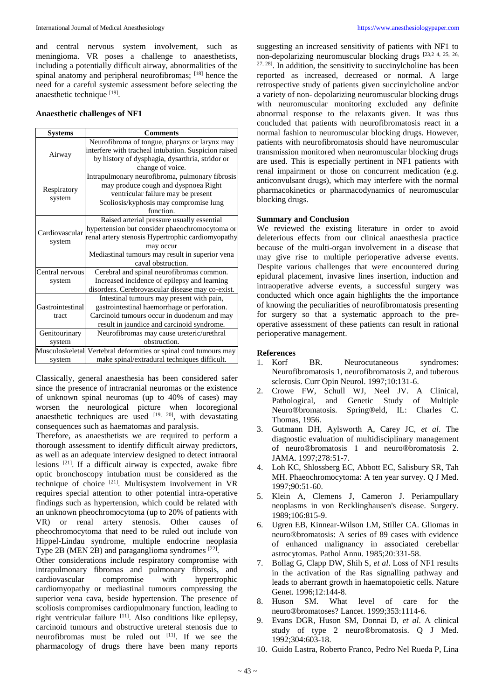and central nervous system involvement, such as meningioma. VR poses a challenge to anaesthetists, including a potentially difficult airway, abnormalities of the spinal anatomy and peripheral neurofibromas; [18] hence the need for a careful systemic assessment before selecting the anaesthetic technique [19].

## **Anaesthetic challenges of NF1**

| <b>Systems</b>           | <b>Comments</b>                                                  |
|--------------------------|------------------------------------------------------------------|
| Airway                   | Neurofibroma of tongue, pharynx or larynx may                    |
|                          | interfere with tracheal intubation. Suspicion raised             |
|                          | by history of dysphagia, dysarthria, stridor or                  |
|                          | change of voice.                                                 |
| Respiratory<br>system    | Intrapulmonary neurofibroma, pulmonary fibrosis                  |
|                          | may produce cough and dyspnoea Right                             |
|                          | ventricular failure may be present                               |
|                          | Scoliosis/kyphosis may compromise lung                           |
|                          | function.                                                        |
| Cardiovascular<br>system | Raised arterial pressure usually essential                       |
|                          | hypertension but consider phaeochromocytoma or                   |
|                          | renal artery stenosis Hypertrophic cardiomyopathy                |
|                          | may occur                                                        |
|                          | Mediastinal tumours may result in superior vena                  |
|                          | caval obstruction.                                               |
| Central nervous          | Cerebral and spinal neurofibromas common.                        |
| system                   | Increased incidence of epilepsy and learning                     |
|                          | disorders. Cerebrovascular disease may co-exist.                 |
|                          | Intestinal tumours may present with pain,                        |
| Gastrointestinal         | gastrointestinal haemorrhage or perforation.                     |
| tract                    | Carcinoid tumours occur in duodenum and may                      |
|                          | result in jaundice and carcinoid syndrome.                       |
| Genitourinary            | Neurofibromas may cause ureteric/urethral                        |
| system                   | obstruction.                                                     |
|                          | Musculoskeletal Vertebral deformities or spinal cord tumours may |
| system                   | make spinal/extradural techniques difficult.                     |

Classically, general anaesthesia has been considered safer since the presence of intracranial neuromas or the existence of unknown spinal neuromas (up to 40% of cases) may worsen the neurological picture when locoregional anaesthetic techniques are used  $[19, 20]$ , with devastating consequences such as haematomas and paralysis.

Therefore, as anaesthetists we are required to perform a thorough assessment to identify difficult airway predictors, as well as an adequate interview designed to detect intraoral lesions <sup>[21]</sup>. If a difficult airway is expected, awake fibre optic bronchoscopy intubation must be considered as the technique of choice <sup>[21]</sup>. Multisystem involvement in VR requires special attention to other potential intra-operative findings such as hypertension, which could be related with an unknown pheochromocytoma (up to 20% of patients with VR) or renal artery stenosis. Other causes of pheochromocytoma that need to be ruled out include von Hippel-Lindau syndrome, multiple endocrine neoplasia Type 2B (MEN 2B) and paraganglioma syndromes  $[22]$ .

Other considerations include respiratory compromise with intrapulmonary fibromas and pulmonary fibrosis, and cardiovascular compromise with hypertrophic cardiomyopathy or mediastinal tumours compressing the superior vena cava, beside hypertension. The presence of scoliosis compromises cardiopulmonary function, leading to right ventricular failure  $[11]$ . Also conditions like epilepsy, carcinoid tumours and obstructive ureteral stenosis due to neurofibromas must be ruled out [11] . If we see the pharmacology of drugs there have been many reports

suggesting an increased sensitivity of patients with NF1 to non-depolarizing neuromuscular blocking drugs [23,2 4, 25, 26, 27, 28] . In addition, the sensitivity to succinylcholine has been reported as increased, decreased or normal. A large retrospective study of patients given succinylcholine and/or a variety of non- depolarizing neuromuscular blocking drugs with neuromuscular monitoring excluded any definite abnormal response to the relaxants given. It was thus concluded that patients with neurofibromatosis react in a normal fashion to neuromuscular blocking drugs. However, patients with neurofibromatosis should have neuromuscular transmission monitored when neuromuscular blocking drugs are used. This is especially pertinent in NF1 patients with renal impairment or those on concurrent medication (e.g. anticonvulsant drugs), which may interfere with the normal pharmacokinetics or pharmacodynamics of neuromuscular blocking drugs.

## **Summary and Conclusion**

We reviewed the existing literature in order to avoid deleterious effects from our clinical anaesthesia practice because of the multi-organ involvement in a disease that may give rise to multiple perioperative adverse events. Despite various challenges that were encountered during epidural placement, invasive lines insertion, induction and intraoperative adverse events, a successful surgery was conducted which once again highlights the the importance of knowing the peculiarities of neurofibromatosis presenting for surgery so that a systematic approach to the preoperative assessment of these patients can result in rational perioperative management.

# **References**

- 1. Korf BR. Neurocutaneous syndromes: Neurofibromatosis 1, neurofibromatosis 2, and tuberous sclerosis. Curr Opin Neurol. 1997;10:131-6.
- 2. Crowe FW, Schull WJ, Neel JV. A Clinical, Pathological, and Genetic Study of Multiple Neuro®bromatosis. Spring®eld, IL: Charles C. Thomas, 1956.
- 3. Gutmann DH, Aylsworth A, Carey JC, *et al*. The diagnostic evaluation of multidisciplinary management of neuro®bromatosis 1 and neuro®bromatosis 2. JAMA. 1997;278:51-7.
- 4. Loh KC, Shlossberg EC, Abbott EC, Salisbury SR, Tah MH. Phaeochromocytoma: A ten year survey. Q J Med. 1997;90:51-60.
- 5. Klein A, Clemens J, Cameron J. Periampullary neoplasms in von Recklinghausen's disease. Surgery. 1989;106:815-9.
- 6. Ugren EB, Kinnear-Wilson LM, Stiller CA. Gliomas in neuro®bromatosis: A series of 89 cases with evidence of enhanced malignancy in associated cerebellar astrocytomas. Pathol Annu. 1985;20:331-58.
- 7. Bollag G, Clapp DW, Shih S, *et al*. Loss of NF1 results in the activation of the Ras signalling pathway and leads to aberrant growth in haematopoietic cells. Nature Genet. 1996;12:144-8.
- 8. Huson SM. What level of care for the neuro®bromatoses? Lancet. 1999;353:1114-6.
- 9. Evans DGR, Huson SM, Donnai D, *et al*. A clinical study of type 2 neuro®bromatosis. Q J Med. 1992;304:603-18.
- 10. Guido Lastra, Roberto Franco, Pedro Nel Rueda P, Lina